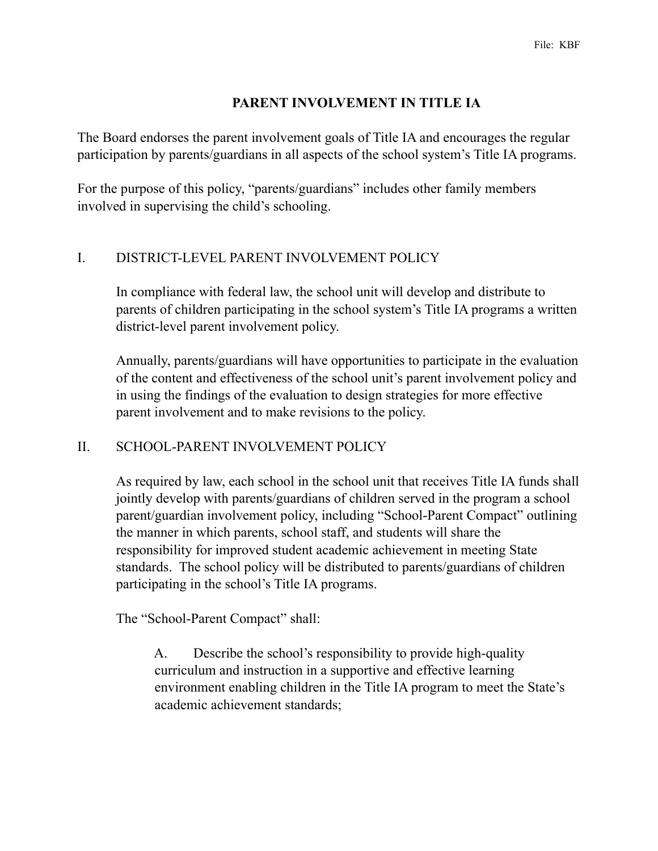### **PARENT INVOLVEMENT IN TITLE IA**

The Board endorses the parent involvement goals of Title IA and encourages the regular participation by parents/guardians in all aspects of the school system's Title IA programs.

For the purpose of this policy, "parents/guardians" includes other family members involved in supervising the child's schooling.

#### I. DISTRICT-LEVEL PARENT INVOLVEMENT POLICY

In compliance with federal law, the school unit will develop and distribute to parents of children participating in the school system's Title IA programs a written district-level parent involvement policy.

Annually, parents/guardians will have opportunities to participate in the evaluation of the content and effectiveness of the school unit's parent involvement policy and in using the findings of the evaluation to design strategies for more effective parent involvement and to make revisions to the policy.

# II. SCHOOL-PARENT INVOLVEMENT POLICY

As required by law, each school in the school unit that receives Title IA funds shall jointly develop with parents/guardians of children served in the program a school parent/guardian involvement policy, including "School-Parent Compact" outlining the manner in which parents, school staff, and students will share the responsibility for improved student academic achievement in meeting State standards. The school policy will be distributed to parents/guardians of children participating in the school's Title IA programs.

The "School-Parent Compact" shall:

 A. Describe the school's responsibility to provide high-quality curriculum and instruction in a supportive and effective learning environment enabling children in the Title IA program to meet the State's academic achievement standards;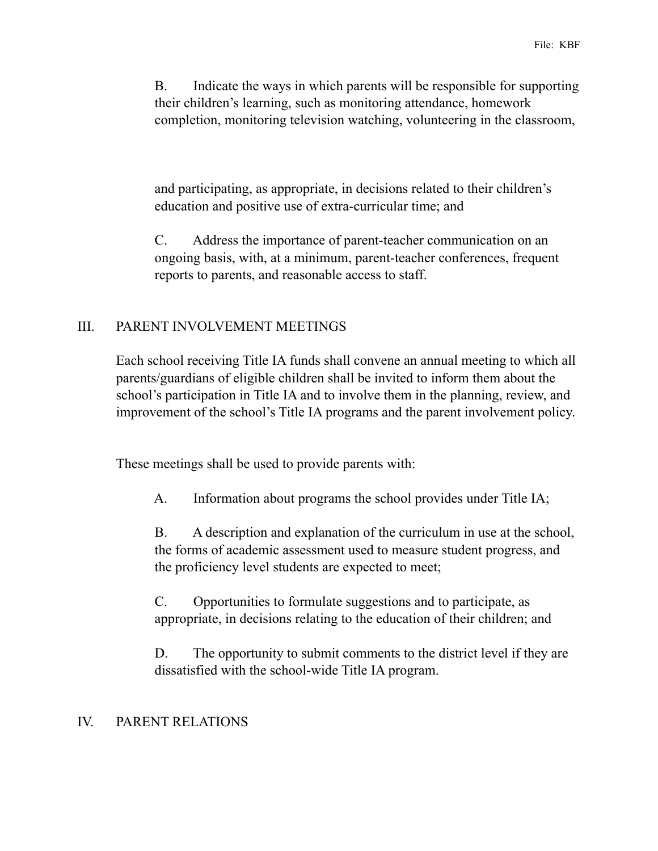B. Indicate the ways in which parents will be responsible for supporting their children's learning, such as monitoring attendance, homework completion, monitoring television watching, volunteering in the classroom,

 and participating, as appropriate, in decisions related to their children's education and positive use of extra-curricular time; and

 C. Address the importance of parent-teacher communication on an ongoing basis, with, at a minimum, parent-teacher conferences, frequent reports to parents, and reasonable access to staff.

### III. PARENT INVOLVEMENT MEETINGS

Each school receiving Title IA funds shall convene an annual meeting to which all parents/guardians of eligible children shall be invited to inform them about the school's participation in Title IA and to involve them in the planning, review, and improvement of the school's Title IA programs and the parent involvement policy.

These meetings shall be used to provide parents with:

A. Information about programs the school provides under Title IA;

 B. A description and explanation of the curriculum in use at the school, the forms of academic assessment used to measure student progress, and the proficiency level students are expected to meet;

 C. Opportunities to formulate suggestions and to participate, as appropriate, in decisions relating to the education of their children; and

 D. The opportunity to submit comments to the district level if they are dissatisfied with the school-wide Title IA program.

# IV. PARENT RELATIONS